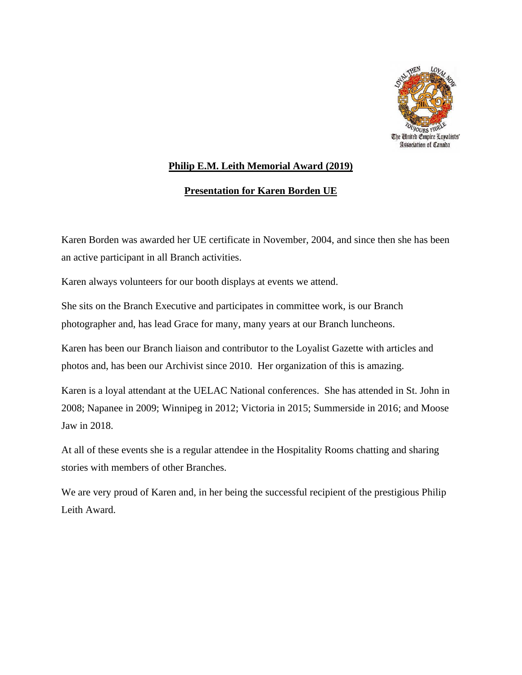

## **Philip E.M. Leith Memorial Award (2019)**

## **Presentation for Karen Borden UE**

Karen Borden was awarded her UE certificate in November, 2004, and since then she has been an active participant in all Branch activities.

Karen always volunteers for our booth displays at events we attend.

She sits on the Branch Executive and participates in committee work, is our Branch photographer and, has lead Grace for many, many years at our Branch luncheons.

Karen has been our Branch liaison and contributor to the Loyalist Gazette with articles and photos and, has been our Archivist since 2010. Her organization of this is amazing.

Karen is a loyal attendant at the UELAC National conferences. She has attended in St. John in 2008; Napanee in 2009; Winnipeg in 2012; Victoria in 2015; Summerside in 2016; and Moose Jaw in 2018.

At all of these events she is a regular attendee in the Hospitality Rooms chatting and sharing stories with members of other Branches.

We are very proud of Karen and, in her being the successful recipient of the prestigious Philip Leith Award.